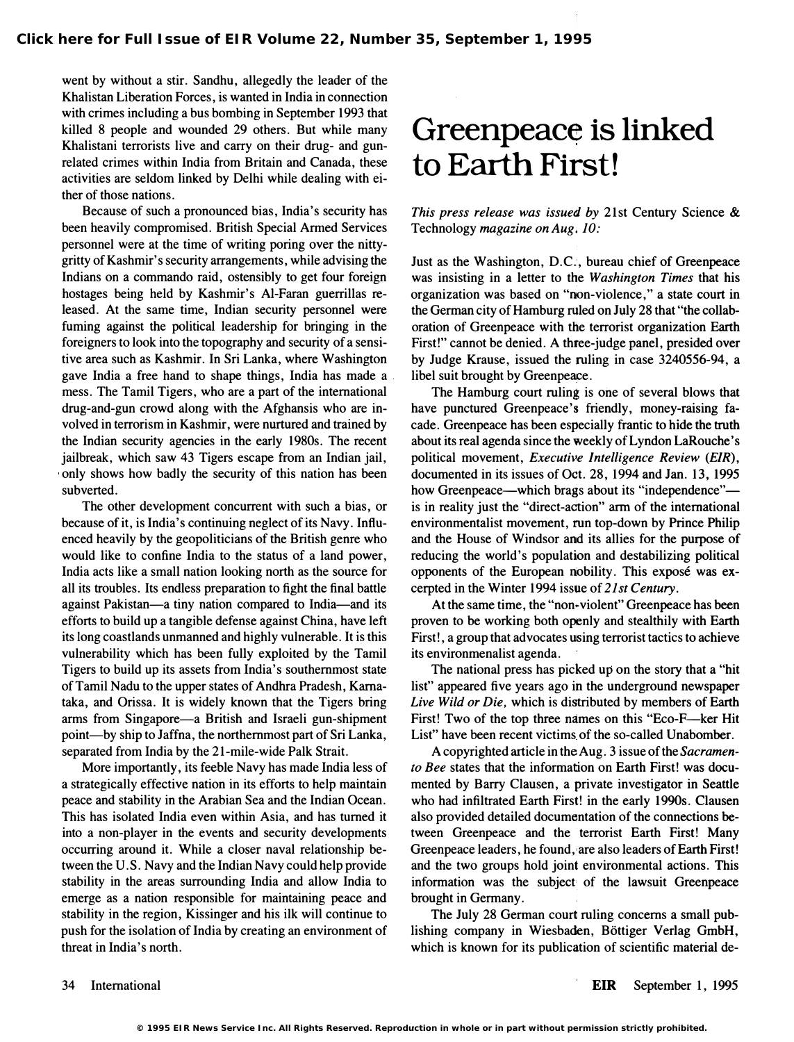went by without a stir. Sandhu, allegedly the leader of the Khalistan Liberation Forces, is wanted in India in connection with crimes including a bus bombing in September 1993 that killed 8 people and wounded 29 others. But while many Khalistani terrorists live and carry on their drug- and gunrelated crimes within India from Britain and Canada, these activities are seldom linked by Delhi while dealing with either of those nations.

Because of such a pronounced bias, India's security has been heavily compromised. British Special Armed Services personnel were at the time of writing poring over the nittygritty of Kashmir's security arrangements, while advising the Indians on a commando raid, ostensibly to get four foreign hostages being held by Kashmir's AI-Faran guerrillas released. At the same time, Indian security personnel were fuming against the political leadership for bringing in the foreigners to look into the topography and security of a sensitive area such as Kashmir. In Sri Lanka, where Washington gave India a free hand to shape things, India has made a mess. The Tamil Tigers, who are a part of the international drug-and-gun crowd along with the Afghansis who are involved in terrorism in Kashmir, were nurtured and trained by the Indian security agencies in the early 1980s. The recent jailbreak, which saw 43 Tigers escape from an Indian jail, only shows how badly the security of this nation has been subverted.

The other development concurrent with such a bias, or because of it, is India's continuing neglect of its Navy. Influenced heavily by the geopoliticians of the British genre who would like to confine India to the status of a land power, India acts like a small nation looking north as the source for all its troubles. Its endless preparation to fight the final battle against Pakistan-a tiny nation compared to India-and its efforts to build up a tangible defense against China, have left its long coastlands unmanned and highly vulnerable. It is this vulnerability which has been fully exploited by the Tamil Tigers to build up its assets from India's southernmost state of Tamil Nadu to the upper states of Andhra Pradesh, Karnataka, and Orissa. It is widely known that the Tigers bring arms from Singapore-a British and Israeli gun-shipment point-by ship to Jaffna, the northernmost part of Sri Lanka, separated from India by the 21-mile-wide Palk Strait.

More importantly, its feeble Navy has made India less of a strategically effective nation in its efforts to help maintain peace and stability in the Arabian Sea and the Indian Ocean. This has isolated India even within Asia, and has turned it into a non-player in the events and security developments occurring around it. While a closer naval relationship between the U. S. Navy and the Indian Navy could help provide stability in the areas surrounding India and allow India to emerge as a nation responsible for maintaining peace and stability in the region, Kissinger and his ilk will continue to push for the isolation of India by creating an environment of threat in India's north.

## Greenpeace is linked to Earth First!

This press release was issued by 21st Century Science & Technology magazine on Aug. 10:

Just as the Washington, D.C., bureau chief of Greenpeace was insisting in a letter to the Washington Times that his organization was based on "non-violence," a state court in the German city of Hamburg ruled on July 28 that "the collaboration of Greenpeace with the terrorist organization Earth First!" cannot be denied. A three-judge panel, presided over by Judge Krause, issued the ruling in case 3240556-94, a libel suit brought by Greenpeace.

The Hamburg court ruling is one of several blows that have punctured Greenpeace's friendly, money-raising facade. Greenpeace has been especially frantic to hide the truth about its real agenda since the weekly of Lyndon LaRouche's political movement, Executive Intelligence Review (EIR), documented in its issues of Oct. 28, 1994 and Jan. 13, 1995 how Greenpeace—which brags about its "independence" is in reality just the "direct-action" arm of the international environmentalist movement, run top-down by Prince Philip and the House of Windsor and its allies for the purpose of reducing the world's population and destabilizing political opponents of the European nobility. This expose was excerpted in the Winter 1994 issue of 21st Century.

At the same time, the "non-violent" Greenpeace has been proven to be working both openly and stealthily with Earth First!, a group that advocates using terrorist tactics to achieve its environmenalist agenda.

The national press has picked up on the story that a "hit list" appeared five years ago in the underground newspaper Live Wild or Die, which is distributed by members of Earth First! Two of the top three names on this "Eco-F-ker Hit List" have been recent victims of the so-called Unabomber.

A copyrighted article in the Aug. 3 issue of the Sacramento Bee states that the information on Earth First! was documented by Barry Clausen, a private investigator in Seattle who had infiltrated Earth First! in the early 1990s. Clausen also provided detailed documentation of the connections between Greenpeace and the terrorist Earth First! Many Greenpeace leaders, he found,'are also leaders of Earth First! and the two groups hold joint environmental actions. This information was the subject' of the lawsuit Greenpeace brought in Germany.

The July 28 German court ruling concerns a small publishing company in Wiesbaden, Bottiger Verlag GmbH, which is known for its publication of scientific material de